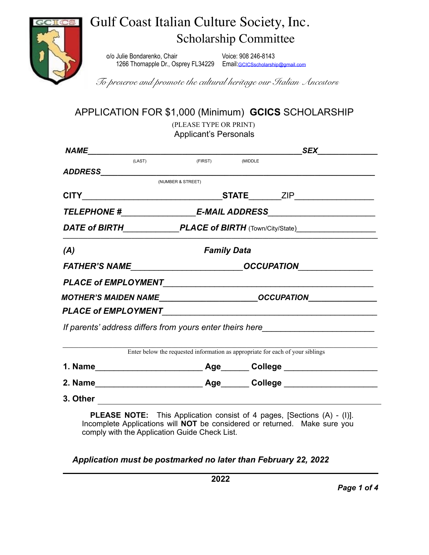

# Gulf Coast Italian Culture Society, Inc. Scholarship Committee

o/o Julie Bondarenko, Chair Voice: 908 246-8143 1266 Thornapple Dr., Osprey FL34229 Email: [GCICSscholarship@gmail.com](mailto:GCICSscholarship@gmail.com)

*To preserve and promote the cultural heritage our Italian Ancestors*

APPLICATION FOR \$1,000 (Minimum) **GCICS** SCHOLARSHIP

 (PLEASE TYPE OR PRINT) Applicant's Personals

|     |                                                                                                                                                                                                                                |                                                                                |                                                                                  | <b>SEX</b>                                                                       |  |
|-----|--------------------------------------------------------------------------------------------------------------------------------------------------------------------------------------------------------------------------------|--------------------------------------------------------------------------------|----------------------------------------------------------------------------------|----------------------------------------------------------------------------------|--|
|     | (LAST)                                                                                                                                                                                                                         | (FIRST)                                                                        | (MIDDLE                                                                          |                                                                                  |  |
|     |                                                                                                                                                                                                                                | (NUMBER & STREET)                                                              |                                                                                  |                                                                                  |  |
|     |                                                                                                                                                                                                                                |                                                                                |                                                                                  |                                                                                  |  |
|     |                                                                                                                                                                                                                                |                                                                                |                                                                                  | TELEPHONE #__________________________E-MAIL ADDRESS_____________________________ |  |
|     |                                                                                                                                                                                                                                |                                                                                |                                                                                  | DATE of BIRTH________________PLACE of BIRTH (Town/City/State)___________________ |  |
| (A) |                                                                                                                                                                                                                                | <b>Family Data</b>                                                             |                                                                                  |                                                                                  |  |
|     |                                                                                                                                                                                                                                |                                                                                |                                                                                  | FATHER'S NAME __________________________________OCCUPATION______________________ |  |
|     |                                                                                                                                                                                                                                |                                                                                |                                                                                  |                                                                                  |  |
|     |                                                                                                                                                                                                                                |                                                                                | MOTHER'S MAIDEN NAME___________________________OCCUPATION_______________________ |                                                                                  |  |
|     | PLACE of EMPLOYMENT FRAMEL AND THE RESERVE THE RESERVE THAT A RESERVE THE RESERVE THAT A RESERVE THAT A RESERVE THAT A RESERVE THAT A REPORT OF THE RESERVE THAT A REPORT OF THE RESERVE THAT A REPORT OF THE REPORT OF THE RE |                                                                                |                                                                                  |                                                                                  |  |
|     |                                                                                                                                                                                                                                |                                                                                |                                                                                  |                                                                                  |  |
|     |                                                                                                                                                                                                                                |                                                                                |                                                                                  |                                                                                  |  |
|     | If parents' address differs from yours enter theirs here                                                                                                                                                                       |                                                                                |                                                                                  |                                                                                  |  |
|     |                                                                                                                                                                                                                                | Enter below the requested information as appropriate for each of your siblings |                                                                                  |                                                                                  |  |
|     |                                                                                                                                                                                                                                |                                                                                |                                                                                  |                                                                                  |  |
|     |                                                                                                                                                                                                                                |                                                                                |                                                                                  |                                                                                  |  |

*Application must be postmarked no later than February 22, 2022*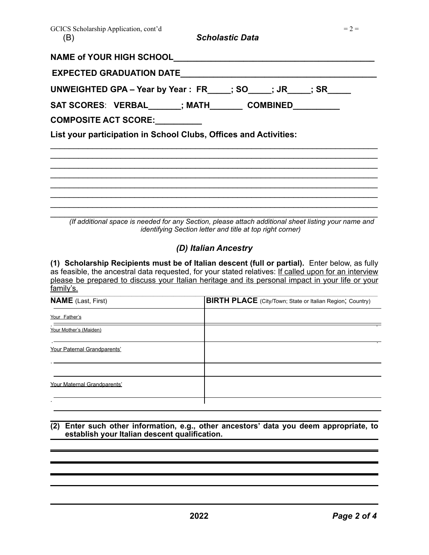| GCICS Scholarship Application, cont'd<br>(B) | <b>Scholastic Data</b>                                                                                                                                                   | $= 2 =$ |
|----------------------------------------------|--------------------------------------------------------------------------------------------------------------------------------------------------------------------------|---------|
| NAME of YOUR HIGH SCHOOL                     |                                                                                                                                                                          |         |
| EXPECTED GRADUATION DATE__________________   |                                                                                                                                                                          |         |
|                                              | UNWEIGHTED GPA - Year by Year: FR___; SO___; JR___; SR___                                                                                                                |         |
| COMPOSITE ACT SCORE: _________               | SAT SCORES: VERBAL______; MATH________ COMBINED_________                                                                                                                 |         |
|                                              | List your participation in School Clubs, Offices and Activities:                                                                                                         |         |
|                                              |                                                                                                                                                                          |         |
|                                              |                                                                                                                                                                          |         |
|                                              |                                                                                                                                                                          |         |
|                                              |                                                                                                                                                                          |         |
|                                              |                                                                                                                                                                          |         |
|                                              | (If additional space is needed for any Section, please attach additional sheet listing your name and<br><i>identifying Section letter and title at top right corner)</i> |         |

### *(D) Italian Ancestry*

**(1) Scholarship Recipients must be of Italian descent (full or partial).** Enter below, as fully as feasible, the ancestral data requested, for your stated relatives: If called upon for an interview please be prepared to discuss your Italian heritage and its personal impact in your life or your family's.

| <b>NAME</b> (Last, First)   | <b>BIRTH PLACE</b> (City/Town; State or Italian Region; Country) |
|-----------------------------|------------------------------------------------------------------|
| Your Father's               |                                                                  |
| Your Mother's (Maiden)      |                                                                  |
| Your Paternal Grandparents' |                                                                  |
|                             |                                                                  |
| Your Maternal Grandparents' |                                                                  |
|                             |                                                                  |

#### **(2) Enter such other information, e.g., other ancestors' data you deem appropriate, to establish your Italian descent qualification.**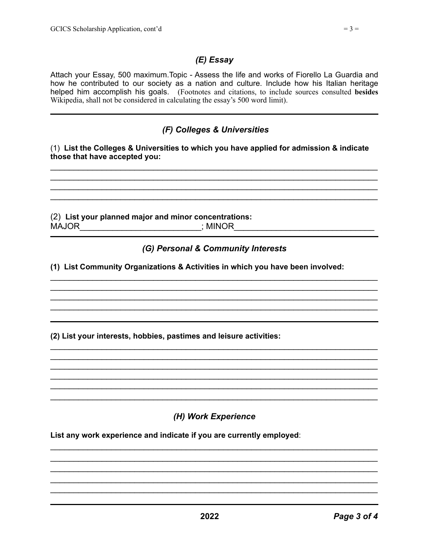Attach your Essay, 500 maximum.Topic - Assess the life and works of Fiorello La Guardia and how he contributed to our society as a nation and culture. Include how his Italian heritage helped him accomplish his goals. (Footnotes and citations, to include sources consulted **besides** Wikipedia, shall not be considered in calculating the essay's 500 word limit).

## *(F) Colleges & Universities*

#### (1) **List the Colleges & Universities to which you have applied for admission & indicate those that have accepted you:**

 $\mathcal{L}_\text{max}$  , and the contract of the contract of the contract of the contract of the contract of the contract of  $\mathcal{L}_\text{max}$  , and the contract of the contract of the contract of the contract of the contract of the contract of  $\mathcal{L}_\mathcal{L} = \mathcal{L}_\mathcal{L} = \mathcal{L}_\mathcal{L} = \mathcal{L}_\mathcal{L} = \mathcal{L}_\mathcal{L} = \mathcal{L}_\mathcal{L} = \mathcal{L}_\mathcal{L} = \mathcal{L}_\mathcal{L} = \mathcal{L}_\mathcal{L} = \mathcal{L}_\mathcal{L} = \mathcal{L}_\mathcal{L} = \mathcal{L}_\mathcal{L} = \mathcal{L}_\mathcal{L} = \mathcal{L}_\mathcal{L} = \mathcal{L}_\mathcal{L} = \mathcal{L}_\mathcal{L} = \mathcal{L}_\mathcal{L}$  $\mathcal{L}_\text{max}$  , and the contract of the contract of the contract of the contract of the contract of the contract of

(2) **List your planned major and minor concentrations:** MAJOR\_\_\_\_\_\_\_\_\_\_\_\_\_\_\_\_\_\_\_\_\_\_\_\_\_\_\_\_\_\_\_\_\_\_\_; MINOR\_\_\_\_\_\_\_\_\_\_\_\_\_\_\_\_\_\_\_\_\_\_\_\_\_\_\_\_\_\_\_\_\_

## *(G) Personal & Community Interests*

 $\mathcal{L}_\text{max}$  , and the contract of the contract of the contract of the contract of the contract of the contract of  $\mathcal{L}_\text{max}$  , and the contract of the contract of the contract of the contract of the contract of the contract of  $\mathcal{L}_\mathcal{L} = \mathcal{L}_\mathcal{L} = \mathcal{L}_\mathcal{L} = \mathcal{L}_\mathcal{L} = \mathcal{L}_\mathcal{L} = \mathcal{L}_\mathcal{L} = \mathcal{L}_\mathcal{L} = \mathcal{L}_\mathcal{L} = \mathcal{L}_\mathcal{L} = \mathcal{L}_\mathcal{L} = \mathcal{L}_\mathcal{L} = \mathcal{L}_\mathcal{L} = \mathcal{L}_\mathcal{L} = \mathcal{L}_\mathcal{L} = \mathcal{L}_\mathcal{L} = \mathcal{L}_\mathcal{L} = \mathcal{L}_\mathcal{L}$ 

 $\mathcal{L}_\mathcal{L} = \mathcal{L}_\mathcal{L} = \mathcal{L}_\mathcal{L} = \mathcal{L}_\mathcal{L} = \mathcal{L}_\mathcal{L} = \mathcal{L}_\mathcal{L} = \mathcal{L}_\mathcal{L} = \mathcal{L}_\mathcal{L} = \mathcal{L}_\mathcal{L} = \mathcal{L}_\mathcal{L} = \mathcal{L}_\mathcal{L} = \mathcal{L}_\mathcal{L} = \mathcal{L}_\mathcal{L} = \mathcal{L}_\mathcal{L} = \mathcal{L}_\mathcal{L} = \mathcal{L}_\mathcal{L} = \mathcal{L}_\mathcal{L}$  $\mathcal{L}_\text{max}$  , and the contract of the contract of the contract of the contract of the contract of the contract of  $\mathcal{L}_\text{max}$  , and the contract of the contract of the contract of the contract of the contract of the contract of  $\mathcal{L}_\mathcal{L} = \mathcal{L}_\mathcal{L} = \mathcal{L}_\mathcal{L} = \mathcal{L}_\mathcal{L} = \mathcal{L}_\mathcal{L} = \mathcal{L}_\mathcal{L} = \mathcal{L}_\mathcal{L} = \mathcal{L}_\mathcal{L} = \mathcal{L}_\mathcal{L} = \mathcal{L}_\mathcal{L} = \mathcal{L}_\mathcal{L} = \mathcal{L}_\mathcal{L} = \mathcal{L}_\mathcal{L} = \mathcal{L}_\mathcal{L} = \mathcal{L}_\mathcal{L} = \mathcal{L}_\mathcal{L} = \mathcal{L}_\mathcal{L}$  $\mathcal{L}_\text{max}$  , and the contract of the contract of the contract of the contract of the contract of the contract of  $\mathcal{L}_\mathcal{L} = \mathcal{L}_\mathcal{L} = \mathcal{L}_\mathcal{L} = \mathcal{L}_\mathcal{L} = \mathcal{L}_\mathcal{L} = \mathcal{L}_\mathcal{L} = \mathcal{L}_\mathcal{L} = \mathcal{L}_\mathcal{L} = \mathcal{L}_\mathcal{L} = \mathcal{L}_\mathcal{L} = \mathcal{L}_\mathcal{L} = \mathcal{L}_\mathcal{L} = \mathcal{L}_\mathcal{L} = \mathcal{L}_\mathcal{L} = \mathcal{L}_\mathcal{L} = \mathcal{L}_\mathcal{L} = \mathcal{L}_\mathcal{L}$ 

**(1) List Community Organizations & Activities in which you have been involved:**

**(2) List your interests, hobbies, pastimes and leisure activities:**

## *(H) Work Experience*

 $\mathcal{L}_\text{max}$  , and the contract of the contract of the contract of the contract of the contract of the contract of  $\mathcal{L}_\mathcal{L} = \mathcal{L}_\mathcal{L} = \mathcal{L}_\mathcal{L} = \mathcal{L}_\mathcal{L} = \mathcal{L}_\mathcal{L} = \mathcal{L}_\mathcal{L} = \mathcal{L}_\mathcal{L} = \mathcal{L}_\mathcal{L} = \mathcal{L}_\mathcal{L} = \mathcal{L}_\mathcal{L} = \mathcal{L}_\mathcal{L} = \mathcal{L}_\mathcal{L} = \mathcal{L}_\mathcal{L} = \mathcal{L}_\mathcal{L} = \mathcal{L}_\mathcal{L} = \mathcal{L}_\mathcal{L} = \mathcal{L}_\mathcal{L}$  $\mathcal{L}_\text{max}$  , and the contract of the contract of the contract of the contract of the contract of the contract of  $\mathcal{L}_\text{max}$  , and the contract of the contract of the contract of the contract of the contract of the contract of  $\mathcal{L}_\text{max}$  , and the contract of the contract of the contract of the contract of the contract of the contract of

**List any work experience and indicate if you are currently employed**: